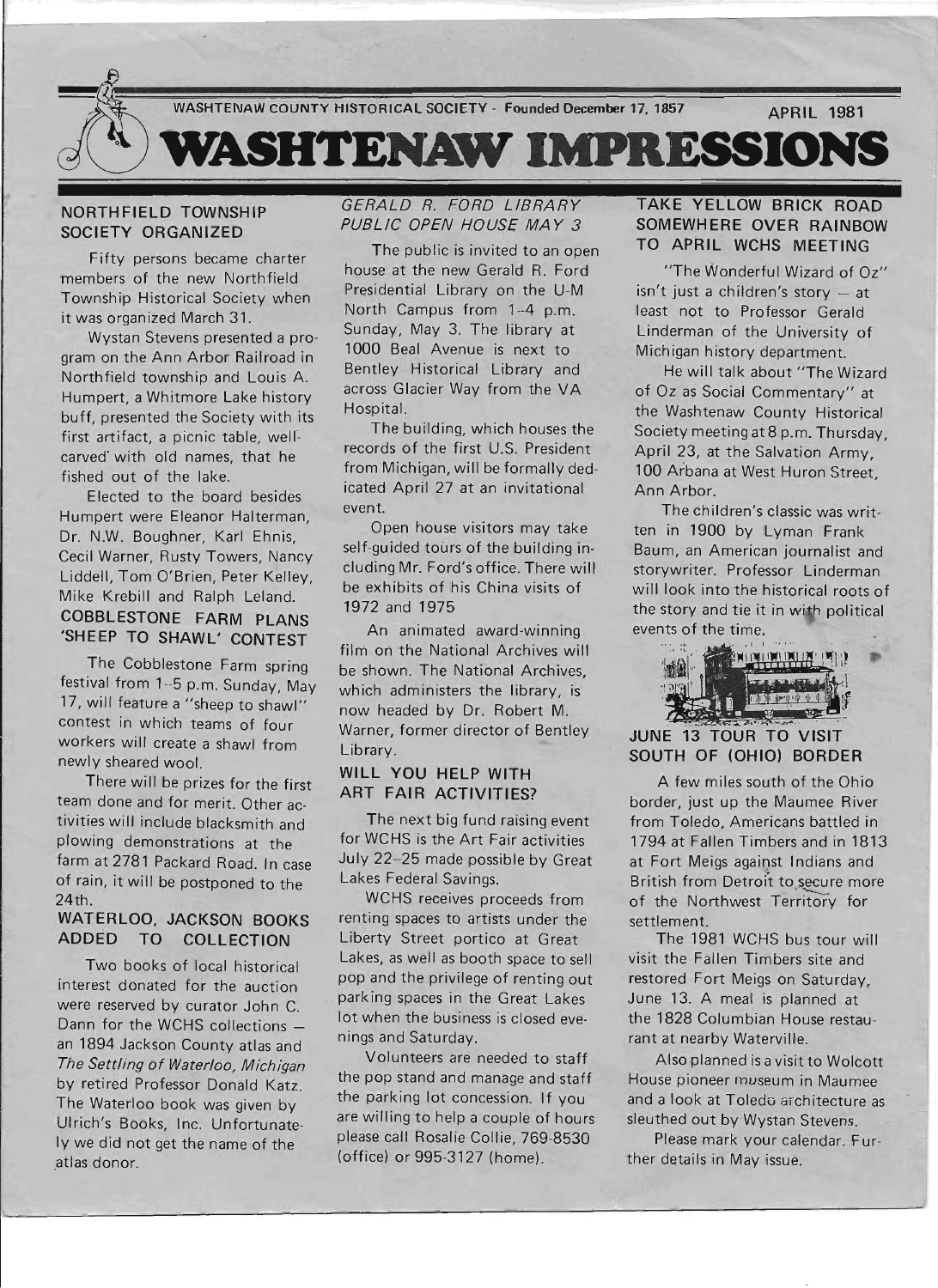

## NORTHFIELD TOWNSHIP SOCIETY ORGANIZED

Fifty persons became charter members of the new Northfield Township Historical Society when it was organized March 31.

Wystan Stevens presented a program on the Ann Arbor Railroad in Northfield township and Louis A. Humpert, a Whitmore Lake history buff, presented the Society with its first artifact, a picnic table, wellcarved with old names, that he fished out of the lake.

Elected to the board besides Humpert were Eleanor Halterman, Dr. N.w. Boughner, Karl Ehnis, Cecil Warner, Rusty Towers, Nancy Liddell, Tom O'Brien, Peter Kelley, Mike Krebill and Ralph Leland. COBBLESTONE FARM PLANS 'SHEEP TO SHAWL' CONTEST

The Cobblestone Farm spring festival from 1--5 p.m. Sunday, May 17, will feature a "sheep to shawl" contest in which teams of four workers will create a shawl from newly sheared wool.

There will be prizes for the first team done and for merit. Other activities will include blacksmith and plowing demonstrations at the farm at 2781 Packard Road. In case of rain, it will be postponed to the 24th.

## WATERLOO, JACKSON BOOKS ADDED TO COLLECTION

Two books of local historical interest donated for the auction were reserved by curator John C. Dann for the WCHS collections an 1894 Jackson County atlas and The Settling of Waterloo, Michigan by retired Professor Donald Katz. The Waterloo book was given by Ulrich's Books, Inc. Unfortunately we did not get the name of the atlas donor.

# GERALD R. FORD LIBRARY PUBLIC OPEN HOUSE MAY 3

The public is invited to an open house at the new Gerald R. Ford Presidential Library on the U-M North Campus from 1-4 p.m. Sunday, May 3. The library at 1000 Beal Avenue is next to Bentley Historical Library and across Glacier Way from the VA Hospital.

The building, which houses the records of the first U.S. President from Michigan, will be formally dedicated April 27 at an invitational event.

Open house visitors may take self-guided tours of the building including Mr. Ford's office. There will be exhibits of his China visits of 1972 and 1975

An animated award-winning film on the National Archives will be shown. The National Archives. which administers the library, is now headed by Dr. Robert M. Warner, former director of Bentley Library.

# WILL YOU HELP WITH **ART FAIR ACTIVITIES?**

The next big fund raising event for WCHS is the Art Fair activities July 22-25 made possible by Great Lakes Federal Savings.

WCHS receives proceeds from renting spaces to artists under the Liberty Street portico at Great Lakes, as well as booth space to sell pop and the privilege of renting out parking spaces in the Great Lakes lot when the business is closed evenings and Saturday.

Volunteers are needed to staff the pop stand and manage and staff the parking lot concession. If you are willing to help a couple of hours please call Rosalie Collie, 769-8530 (office) or 995-3127 (home).

# TAKE YELLOW BRICK ROAD SOMEWHERE OVER RAINBOW TO APRIL WCHS MEETING

"The Wonderful Wizard of Oz"  $sn't$  just a children's story  $-$  at least not to Professor Gerald Linderman of the University of Michigan history department.

He will talk about "The Wizard of Oz as Social Commentary" at the Washtenaw County Historical Society meeting at 8 p.m. Thursday, April 23, at the Salvation Army, 100 Arbana at West Huron Street, Ann Arbor.

The children's classic was written in 1900 by Lyman Frank Baum, an American journalist and storywriter. Professor Linderman will look into the historical roots of the story and tie it in with political events of the time.



# **THE REPORT OF THE SECTION SECTION** SOUTH OF (OHIO) BORDER

A few miles south of the Ohio border, just up the Maumee River from Toledo, Americans battled in 1794 at Fallen Timbers and in 1813 at Fort Meigs against Indians and British from Detroit to secure more of the Northwest Territory for settlement.

The 1981 WCHS bus tour will visit the Fallen Timbers site and restored Fort Meigs on Saturday, June 13. A meal is planned at the 1828 Columbian House restaurant at nearby Waterville.

Also planned is a visit to Wolcott House pioneer museum in Maumee and a look at Toledo architecture as sleuthed out by Wystan Stevens.

Please mark your calendar. Further details in May issue.

J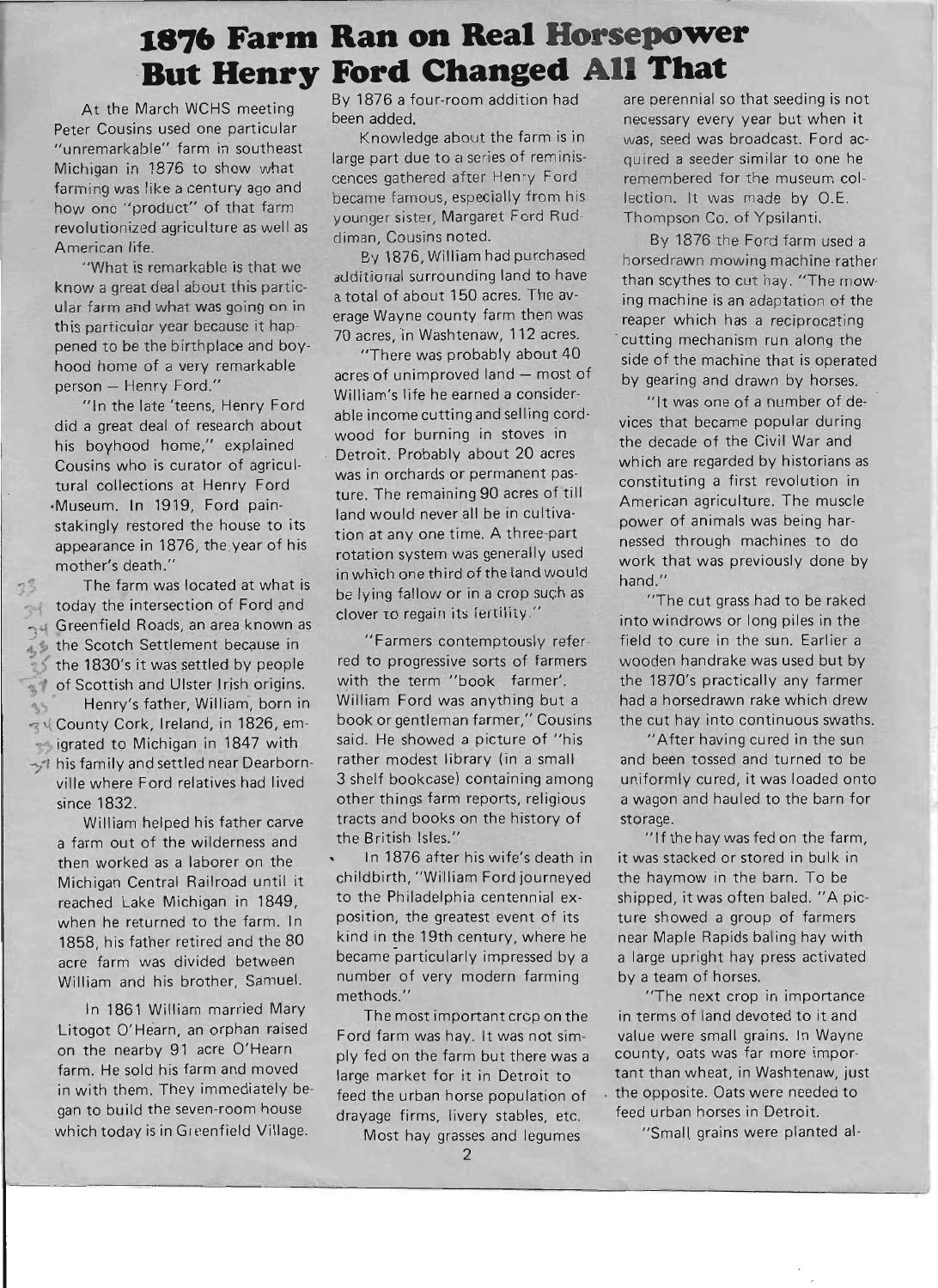# **1876 Farm Ran on Real Horsepower 'But Henry Ford Changed All That**

At the March WCHS meeting Peter Cousins used one particular "unremarkable" farm in southeast Michigan in 1876 to show what farming was like a century ago and how one "product" of that farm revolutionized agriculture as well as American life.

"What is remarkable is that we know a great deal about this particular farm and what was going on in this particular year because it happened to be the birthplace and boyhood home of a very remarkable person - Henry Ford."

"In the late 'teens, Henry Ford did a great deal of research about his boyhood home," explained Cousins who is curator of agricultural collections at Henry Ford ·Museum. In 1919, Ford painstakingly restored the house to its appearance in 1876, the year of his mother's death."

<sup>3</sup> The farm was located at what is today the intersection of Ford and  $\sim$  today the intersection of Ford and  $\sim$  Greenfield Roads, an area known as <sup>0</sup>1 the Scotch Settlement because in the 1830's it was settled by people of Scottish and Ulster Irish origins. • Henry's father, William, born in  $35$ ~I.( County Cork, Ireland, in 1826, emigrated to Michigan in 1847 with

 $\rightarrow$  his family and settled near Dearbornville where Ford relatives had lived since 1832.

William helped his father carve a farm out of the wilderness and then worked as a laborer on the Michigan Central Railroad until it reached Lake Michigan in 1849, when he returned to the farm. In 1858, his father retired and the 80 acre farm was divided between William and his brother, Samuel.

In 1861 William married Mary Litogot O'Hearn, an orphan raised on the nearby 91 acre O'Hearn farm. He sold his farm and moved in with them. They immediately began to build the seven-room house which today is in Greenfield Village,

By 1876 a four-room addition had been added.

Knowledge about the farm is in large part due to a series of reminiscences gathered after Henry Ford became famous, especially from his younger sister, Margaret Ford Ruddiman, Cousins noted.

By 1876, William had purchased additional surrounding land to have a total of about 150 acres. The average Wayne county farm then was 70 acres, in Washtenaw, 112 acres.

"There was probably about 40 acres of unimproved land - most of William's life he earned a considerable income cutting and selling cordwood for burning in stoves in Detroit. Probably about 20 acres was in orchards or permanent pasture. The remaining 90 acres of till land would never all be in cultivation at anyone time. A three-part rotation system was generally used in which one third of the land would be lying fallow or in a crop such as clover to regain its fertility."

"Farmers contemptously referred to progressive sorts of farmers with the term "book farmer'. William Ford was anything but a book or gentleman farmer," Cousins said. He showed a picture of "his rather modest library (in a small 3 shelf bookcase) containing among other things farm reports, religious tracts and books on the history of the British Isles."

In 1876 after his wife's death in childbirth, "William Ford journeyed to the Philadelphia centennial exposition, the greatest event of its kind in the 19th century, where he became particularly impressed by a number of very modern farming methods."

The most important crcp on the Ford farm was hay. It was not simply fed on the farm but there was a large market for it in Detroit to feed the urban horse population of drayage firms, livery stables, etc.

Most hay grasses and legumes

are perennial so that seeding is not necessary every year but when it was, seed was broadcast. Ford acquired a seeder similar to one he remembered for the museum collection. It was made by O.E. Thompson Co. of Ypsilanti.

By 1876 the Ford farm used a horsedrawn mowing machine rather than scythes to cut hay. "The mow· ing machine is an adaptation of the reaper which has a reciprocating . cutting mechanism run along the side of the machine that is operated by gearing and drawn by horses.

"It was one of a number of devices that became popular during the decade of the Civil War and which are regarded by historians as constituting a first revolution in American agriculture. The muscle power of animals was being harnessed through machines to do work that was previously done by hand."

"The cut grass had to be raked into windrows or long piles in the field to cure in the sun. Earlier a wooden handrake was used but by the 1870's practically any farmer had a horsedrawn rake which drew the cut hay into continuous swaths.

"After having cured in the sun and been tossed and turned to be uniformly cured, it was loaded onto a wagon and hauled to the barn for storage.

"If the hay was fed on the farm, it was stacked or stored in bulk in the haymow in the barn. To be shipped, it was often baled. "A picture showed a group of farmers near Maple Rapids baling hay with a large upright hay press activated by a team of horses.

"The next crop in importance in terms of land devoted to it and value were small grains. In Wayne county, oats was far more important than wheat, in Washtenaw, just the opposite. Oats were needed to feed urban horses in Detroit.

"Small, grains were planted al-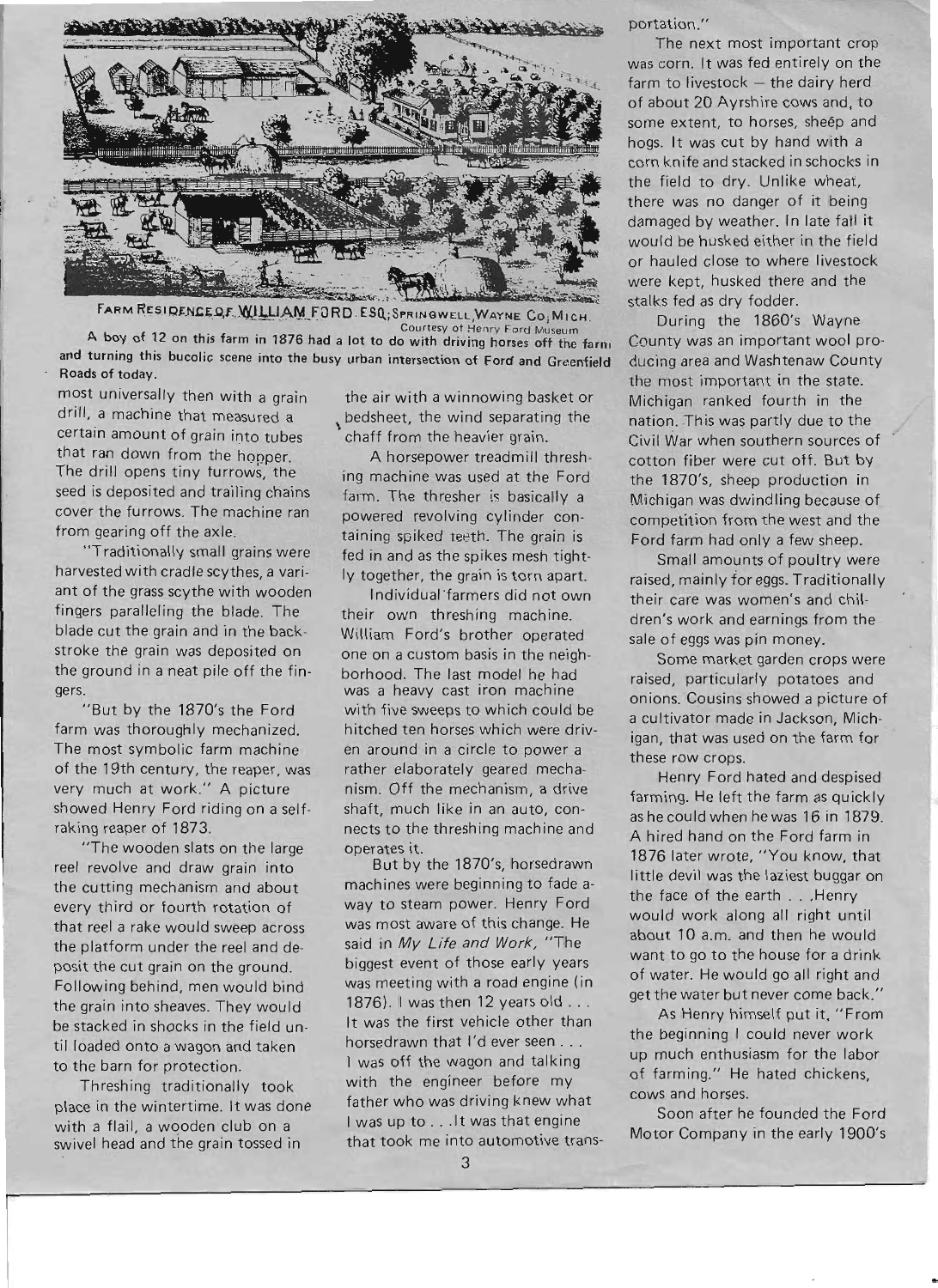

FARM RESIDENCE OF WILLIAM FORD. ESQ; SPRINGWELL, WAYNE CO; MICH.

Courtesy at Henry Ford Museum A boy of 12 on this farm in 1876 had a lot to do with driving horses off the farn. and turning this bucolic scene into the busy urban intersection of Ford and Greenfield Roads of today.

most universally then with a grain drill, a machine that measured a certain amount of grain into tubes that ran down from the hopper. The drill opens tiny turrows, the seed is deposited and trailing chains cover the furrows. The machine ran from gearing off the axle.

"Traditionally small grains were harvested with cradle scythes, a variant of the grass scythe with wooden fingers paralleling the blade. The blade cut the grain and in the backstroke the grain was deposited on the ground in a neat pile off the fingers.

"But by the 1870's the Ford farm was thoroughly mechanized. The most symbolic farm machine of the 19th century, the reaper, was very much at work." A picture showed Henry Ford riding on a selfraking reaper of 1873.

"The wooden slats on the large reel revolve and draw grain into the cutting mechanism and about every third or fourth rotation of that reel a rake would sweep across the platform under the reel and deposit the cut grain on the ground. Following behind, men would bind the grain into sheaves. They would be stacked in shocks in the field until loaded onto a wagon and taken to the barn for protection.

Threshing traditionally took place in the wintertime. It was done with a flail, a wooden club on a swivel head and the grain tossed in

the air with a winnowing basket or bedsheet, the wind separating the chaff from the heavier grain.

A horsepower treadmill threshing machine was used at the Ford farm. The thresher is basically a powered revolving cylinder containing spiked teeth. The grain is fed in and as the spikes mesh tightly together, the grain is torn apart.

Individual farmers did not own their own threshing machine. William Ford's brother operated one on a custom basis in the neighborhood. The last model he had was a heavy cast iron machine with five sweeps to which could be hitched ten horses which were driven around in a circle to power a rather elaborately geared mechanism. Off the mechanism, a drive shaft, much like in an auto, connects to the threshing machine and operates it.

But by the 1870's, horsedrawn machines were beginning to fade away to steam power. Henry Ford was most aware of this change. He said in My Life and Work, "The biggest event of those early years was meeting with a road engine (in 1876). I was then 12 years old . . . It was the first vehicle other than horsedrawn that I'd ever seen . . . I was off the wagon and talking with the engineer before my father who was driving knew what I was up to ... It was that engine that took me into automotive transportation."

The next most important crop was corn. It was fed entirely on the  $farm to livestock - the dairy herd$ of about 20 Ayrshire cows and, to some extent, to horses, sheep and hogs. It was cut by hand with a corn knife and stacked in schocks in the field to dry. Unlike wheat, there was no danger of it being damaged by weather. In late fall it would be husked either in the field or hauled close to where livestock were kept, husked there and the stalks fed as dry fodder.

During the 1860's Wayne County was an important wool producing area and Washtenaw County the most important in the state. Michigan ranked fourth in the nation. This was partly due to the Civil War when southern sources of cotton fiber were cut off. But by the 1870's, sheep production in Michigan was dwindling because of competition from the west and the Ford farm had only a few sheep.

Small amounts of poultry were raised, mainly for eggs. Traditionally their care was women's and children's work and earnings from the sale of eggs was pin money.

Some market garden crops were raised, particularly potatoes and onions. Cousins showed a picture of a cultivator made in Jackson, Michigan, that was used on the farm for these row crops.

Henry Ford hated and despised farming. He left the farm as quickly as he could when he was 16 in 1879. A hired hand on the Ford farm in 1876 later wrote, "You know, that little devil was the laziest buggar on the face of the earth . .. Henry would work along all right until about 10 a.m. and then he would want to go to the house for a drink of water. He would go all right and get the water but never come back."

As Henry himself put it, "From the beginning I could never work up much enthusiasm for the labor of farming." He hated chickens, cows and horses.

Soon after he founded the Ford Motor Company in the early 1900's